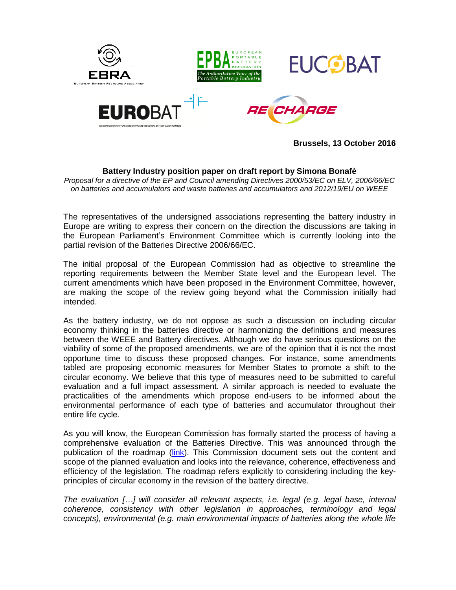

**Brussels, 13 October 2016**

# **Battery Industry position paper on draft report by Simona Bonafè**

*Proposal for a directive of the EP and Council amending Directives 2000/53/EC on ELV, 2006/66/EC on batteries and accumulators and waste batteries and accumulators and 2012/19/EU on WEEE*

The representatives of the undersigned associations representing the battery industry in Europe are writing to express their concern on the direction the discussions are taking in the European Parliament's Environment Committee which is currently looking into the partial revision of the Batteries Directive 2006/66/EC.

The initial proposal of the European Commission had as objective to streamline the reporting requirements between the Member State level and the European level. The current amendments which have been proposed in the Environment Committee, however, are making the scope of the review going beyond what the Commission initially had intended.

As the battery industry, we do not oppose as such a discussion on including circular economy thinking in the batteries directive or harmonizing the definitions and measures between the WEEE and Battery directives. Although we do have serious questions on the viability of some of the proposed amendments, we are of the opinion that it is not the most opportune time to discuss these proposed changes. For instance, some amendments tabled are proposing economic measures for Member States to promote a shift to the circular economy. We believe that this type of measures need to be submitted to careful evaluation and a full impact assessment. A similar approach is needed to evaluate the practicalities of the amendments which propose end-users to be informed about the environmental performance of each type of batteries and accumulator throughout their entire life cycle.

As you will know, the European Commission has formally started the process of having a comprehensive evaluation of the Batteries Directive. This was announced through the publication of the roadmap [\(link\)](http://ec.europa.eu/smart-regulation/roadmaps/docs/2017_env_016_batteries_evaluation.pdf). This Commission document sets out the content and scope of the planned evaluation and looks into the relevance, coherence, effectiveness and efficiency of the legislation. The roadmap refers explicitly to considering including the keyprinciples of circular economy in the revision of the battery directive.

*The evaluation […] will consider all relevant aspects, i.e. legal (e.g. legal base, internal coherence, consistency with other legislation in approaches, terminology and legal concepts), environmental (e.g. main environmental impacts of batteries along the whole life*